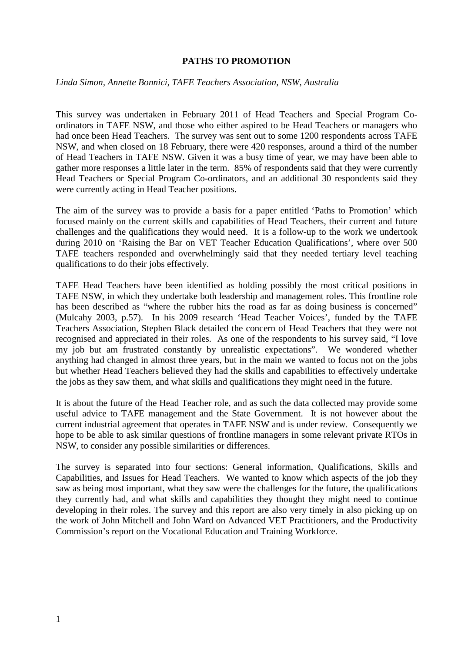#### **PATHS TO PROMOTION**

#### *Linda Simon, Annette Bonnici, TAFE Teachers Association, NSW, Australia*

This survey was undertaken in February 2011 of Head Teachers and Special Program Coordinators in TAFE NSW, and those who either aspired to be Head Teachers or managers who had once been Head Teachers. The survey was sent out to some 1200 respondents across TAFE NSW, and when closed on 18 February, there were 420 responses, around a third of the number of Head Teachers in TAFE NSW. Given it was a busy time of year, we may have been able to gather more responses a little later in the term. 85% of respondents said that they were currently Head Teachers or Special Program Co-ordinators, and an additional 30 respondents said they were currently acting in Head Teacher positions.

The aim of the survey was to provide a basis for a paper entitled 'Paths to Promotion' which focused mainly on the current skills and capabilities of Head Teachers, their current and future challenges and the qualifications they would need. It is a follow-up to the work we undertook during 2010 on 'Raising the Bar on VET Teacher Education Qualifications', where over 500 TAFE teachers responded and overwhelmingly said that they needed tertiary level teaching qualifications to do their jobs effectively.

TAFE Head Teachers have been identified as holding possibly the most critical positions in TAFE NSW, in which they undertake both leadership and management roles. This frontline role has been described as "where the rubber hits the road as far as doing business is concerned" (Mulcahy 2003, p.57). In his 2009 research 'Head Teacher Voices', funded by the TAFE Teachers Association, Stephen Black detailed the concern of Head Teachers that they were not recognised and appreciated in their roles. As one of the respondents to his survey said, "I love my job but am frustrated constantly by unrealistic expectations". We wondered whether anything had changed in almost three years, but in the main we wanted to focus not on the jobs but whether Head Teachers believed they had the skills and capabilities to effectively undertake the jobs as they saw them, and what skills and qualifications they might need in the future.

It is about the future of the Head Teacher role, and as such the data collected may provide some useful advice to TAFE management and the State Government. It is not however about the current industrial agreement that operates in TAFE NSW and is under review. Consequently we hope to be able to ask similar questions of frontline managers in some relevant private RTOs in NSW, to consider any possible similarities or differences.

The survey is separated into four sections: General information, Qualifications, Skills and Capabilities, and Issues for Head Teachers. We wanted to know which aspects of the job they saw as being most important, what they saw were the challenges for the future, the qualifications they currently had, and what skills and capabilities they thought they might need to continue developing in their roles. The survey and this report are also very timely in also picking up on the work of John Mitchell and John Ward on Advanced VET Practitioners, and the Productivity Commission's report on the Vocational Education and Training Workforce.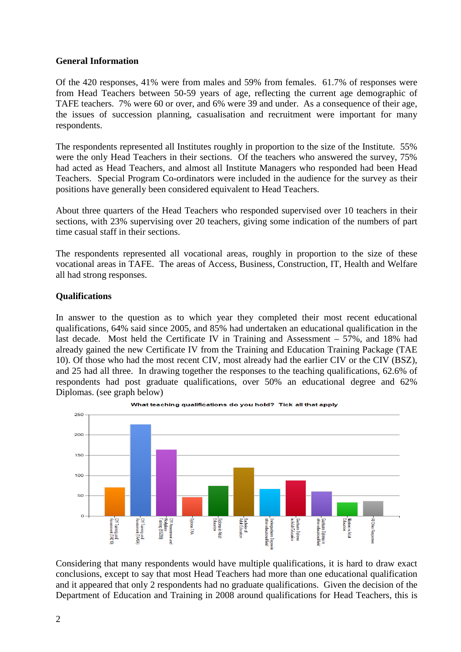## **General Information**

Of the 420 responses, 41% were from males and 59% from females. 61.7% of responses were from Head Teachers between 50-59 years of age, reflecting the current age demographic of TAFE teachers. 7% were 60 or over, and 6% were 39 and under. As a consequence of their age, the issues of succession planning, casualisation and recruitment were important for many respondents.

The respondents represented all Institutes roughly in proportion to the size of the Institute. 55% were the only Head Teachers in their sections. Of the teachers who answered the survey, 75% had acted as Head Teachers, and almost all Institute Managers who responded had been Head Teachers. Special Program Co-ordinators were included in the audience for the survey as their positions have generally been considered equivalent to Head Teachers.

About three quarters of the Head Teachers who responded supervised over 10 teachers in their sections, with 23% supervising over 20 teachers, giving some indication of the numbers of part time casual staff in their sections.

The respondents represented all vocational areas, roughly in proportion to the size of these vocational areas in TAFE. The areas of Access, Business, Construction, IT, Health and Welfare all had strong responses.

# **Qualifications**

In answer to the question as to which year they completed their most recent educational qualifications, 64% said since 2005, and 85% had undertaken an educational qualification in the last decade. Most held the Certificate IV in Training and Assessment – 57%, and 18% had already gained the new Certificate IV from the Training and Education Training Package (TAE 10). Of those who had the most recent CIV, most already had the earlier CIV or the CIV (BSZ), and 25 had all three. In drawing together the responses to the teaching qualifications, 62.6% of respondents had post graduate qualifications, over 50% an educational degree and 62% Diplomas. (see graph below)





Considering that many respondents would have multiple qualifications, it is hard to draw exact conclusions, except to say that most Head Teachers had more than one educational qualification and it appeared that only 2 respondents had no graduate qualifications. Given the decision of the Department of Education and Training in 2008 around qualifications for Head Teachers, this is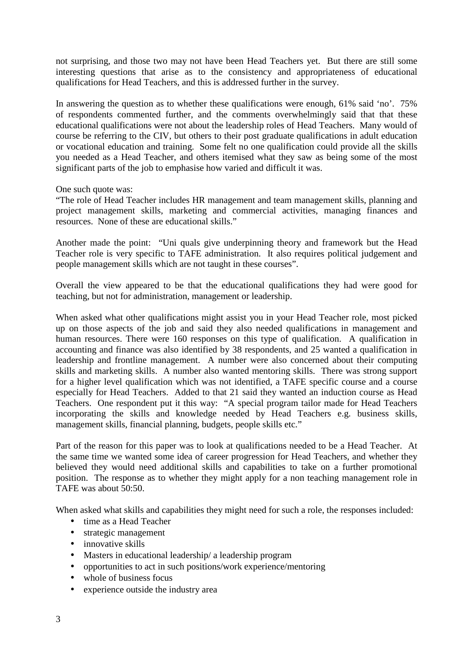not surprising, and those two may not have been Head Teachers yet. But there are still some interesting questions that arise as to the consistency and appropriateness of educational qualifications for Head Teachers, and this is addressed further in the survey.

In answering the question as to whether these qualifications were enough, 61% said 'no'. 75% of respondents commented further, and the comments overwhelmingly said that that these educational qualifications were not about the leadership roles of Head Teachers. Many would of course be referring to the CIV, but others to their post graduate qualifications in adult education or vocational education and training. Some felt no one qualification could provide all the skills you needed as a Head Teacher, and others itemised what they saw as being some of the most significant parts of the job to emphasise how varied and difficult it was.

One such quote was:

"The role of Head Teacher includes HR management and team management skills, planning and project management skills, marketing and commercial activities, managing finances and resources. None of these are educational skills."

Another made the point: "Uni quals give underpinning theory and framework but the Head Teacher role is very specific to TAFE administration. It also requires political judgement and people management skills which are not taught in these courses".

Overall the view appeared to be that the educational qualifications they had were good for teaching, but not for administration, management or leadership.

When asked what other qualifications might assist you in your Head Teacher role, most picked up on those aspects of the job and said they also needed qualifications in management and human resources. There were 160 responses on this type of qualification. A qualification in accounting and finance was also identified by 38 respondents, and 25 wanted a qualification in leadership and frontline management. A number were also concerned about their computing skills and marketing skills. A number also wanted mentoring skills. There was strong support for a higher level qualification which was not identified, a TAFE specific course and a course especially for Head Teachers. Added to that 21 said they wanted an induction course as Head Teachers. One respondent put it this way: "A special program tailor made for Head Teachers incorporating the skills and knowledge needed by Head Teachers e.g. business skills, management skills, financial planning, budgets, people skills etc."

Part of the reason for this paper was to look at qualifications needed to be a Head Teacher. At the same time we wanted some idea of career progression for Head Teachers, and whether they believed they would need additional skills and capabilities to take on a further promotional position. The response as to whether they might apply for a non teaching management role in TAFE was about 50:50.

When asked what skills and capabilities they might need for such a role, the responses included:

- time as a Head Teacher
- strategic management
- innovative skills
- Masters in educational leadership/ a leadership program
- opportunities to act in such positions/work experience/mentoring
- whole of business focus
- experience outside the industry area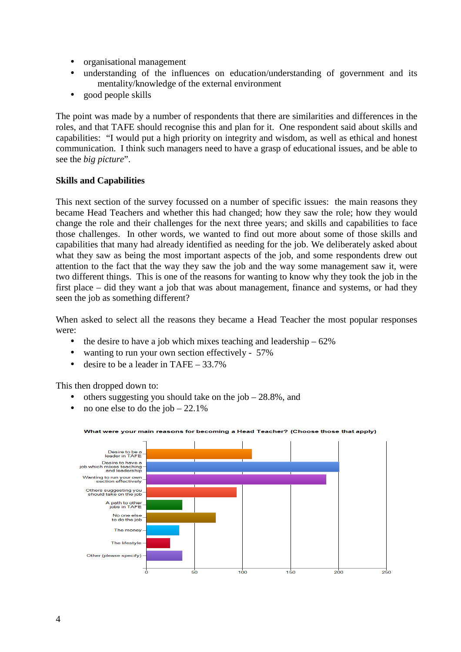- organisational management
- understanding of the influences on education/understanding of government and its mentality/knowledge of the external environment
- good people skills

The point was made by a number of respondents that there are similarities and differences in the roles, and that TAFE should recognise this and plan for it. One respondent said about skills and capabilities: "I would put a high priority on integrity and wisdom, as well as ethical and honest communication. I think such managers need to have a grasp of educational issues, and be able to see the *big picture*".

## **Skills and Capabilities**

This next section of the survey focussed on a number of specific issues: the main reasons they became Head Teachers and whether this had changed; how they saw the role; how they would change the role and their challenges for the next three years; and skills and capabilities to face those challenges. In other words, we wanted to find out more about some of those skills and capabilities that many had already identified as needing for the job. We deliberately asked about what they saw as being the most important aspects of the job, and some respondents drew out attention to the fact that the way they saw the job and the way some management saw it, were two different things. This is one of the reasons for wanting to know why they took the job in the first place – did they want a job that was about management, finance and systems, or had they seen the job as something different?

When asked to select all the reasons they became a Head Teacher the most popular responses were:

- the desire to have a job which mixes teaching and leadership  $-62\%$
- wanting to run your own section effectively 57%
- desire to be a leader in TAFE  $33.7\%$

This then dropped down to:

- others suggesting you should take on the job  $-28.8\%$ , and
- no one else to do the job  $-22.1\%$



#### What were your main reasons for becoming a Head Teacher? (Choose those that apply)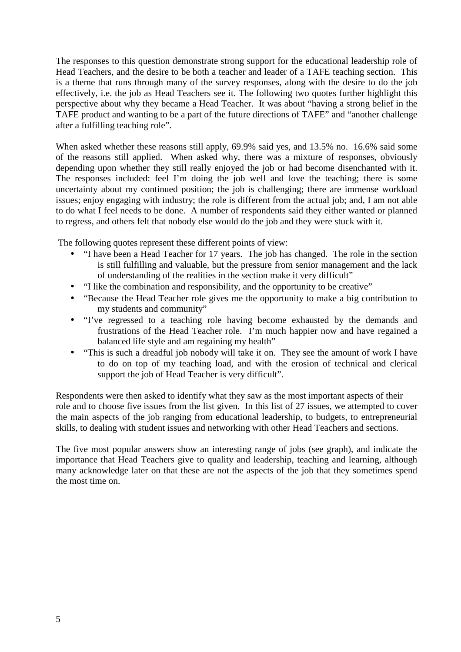The responses to this question demonstrate strong support for the educational leadership role of Head Teachers, and the desire to be both a teacher and leader of a TAFE teaching section. This is a theme that runs through many of the survey responses, along with the desire to do the job effectively, i.e. the job as Head Teachers see it. The following two quotes further highlight this perspective about why they became a Head Teacher. It was about "having a strong belief in the TAFE product and wanting to be a part of the future directions of TAFE" and "another challenge after a fulfilling teaching role".

When asked whether these reasons still apply, 69.9% said yes, and 13.5% no. 16.6% said some of the reasons still applied. When asked why, there was a mixture of responses, obviously depending upon whether they still really enjoyed the job or had become disenchanted with it. The responses included: feel I'm doing the job well and love the teaching; there is some uncertainty about my continued position; the job is challenging; there are immense workload issues; enjoy engaging with industry; the role is different from the actual job; and, I am not able to do what I feel needs to be done. A number of respondents said they either wanted or planned to regress, and others felt that nobody else would do the job and they were stuck with it.

The following quotes represent these different points of view:

- "I have been a Head Teacher for 17 years. The job has changed. The role in the section is still fulfilling and valuable, but the pressure from senior management and the lack of understanding of the realities in the section make it very difficult"
- "I like the combination and responsibility, and the opportunity to be creative"
- "Because the Head Teacher role gives me the opportunity to make a big contribution to my students and community"
- "I've regressed to a teaching role having become exhausted by the demands and frustrations of the Head Teacher role. I'm much happier now and have regained a balanced life style and am regaining my health"
- "This is such a dreadful job nobody will take it on. They see the amount of work I have to do on top of my teaching load, and with the erosion of technical and clerical support the job of Head Teacher is very difficult".

Respondents were then asked to identify what they saw as the most important aspects of their role and to choose five issues from the list given. In this list of 27 issues, we attempted to cover the main aspects of the job ranging from educational leadership, to budgets, to entrepreneurial skills, to dealing with student issues and networking with other Head Teachers and sections.

The five most popular answers show an interesting range of jobs (see graph), and indicate the importance that Head Teachers give to quality and leadership, teaching and learning, although many acknowledge later on that these are not the aspects of the job that they sometimes spend the most time on.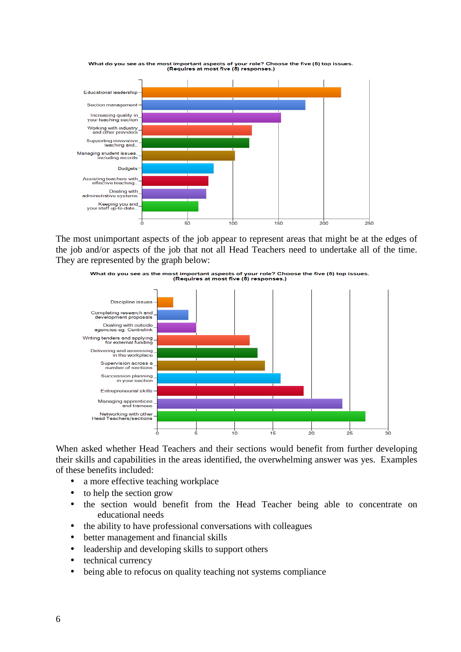

The most unimportant aspects of the job appear to represent areas that might be at the edges of the job and/or aspects of the job that not all Head Teachers need to undertake all of the time. They are represented by the graph below:



When asked whether Head Teachers and their sections would benefit from further developing their skills and capabilities in the areas identified, the overwhelming answer was yes. Examples of these benefits included:

- a more effective teaching workplace
- to help the section grow
- the section would benefit from the Head Teacher being able to concentrate on educational needs
- the ability to have professional conversations with colleagues
- better management and financial skills
- leadership and developing skills to support others
- technical currency
- being able to refocus on quality teaching not systems compliance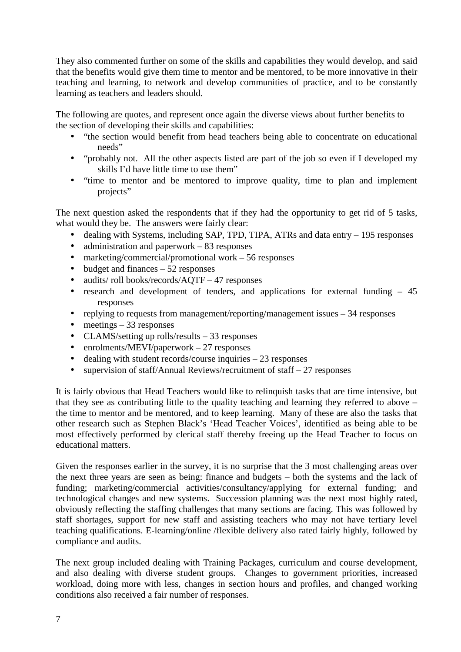They also commented further on some of the skills and capabilities they would develop, and said that the benefits would give them time to mentor and be mentored, to be more innovative in their teaching and learning, to network and develop communities of practice, and to be constantly learning as teachers and leaders should.

The following are quotes, and represent once again the diverse views about further benefits to the section of developing their skills and capabilities:

- "the section would benefit from head teachers being able to concentrate on educational needs"
- "probably not. All the other aspects listed are part of the job so even if I developed my skills I'd have little time to use them"
- "time to mentor and be mentored to improve quality, time to plan and implement projects"

The next question asked the respondents that if they had the opportunity to get rid of 5 tasks, what would they be. The answers were fairly clear:

- dealing with Systems, including SAP, TPD, TIPA, ATRs and data entry 195 responses
- administration and paperwork 83 responses
- marketing/commercial/promotional work 56 responses
- budget and finances  $-52$  responses
- audits/roll books/records/AQTF 47 responses
- research and development of tenders, and applications for external funding 45 responses
- replying to requests from management/reporting/management issues 34 responses
- meetings  $-33$  responses
- CLAMS/setting up rolls/results 33 responses
- enrolments/MEVI/paperwork 27 responses
- dealing with student records/course inquiries 23 responses
- supervision of staff/Annual Reviews/recruitment of staff  $-27$  responses

It is fairly obvious that Head Teachers would like to relinquish tasks that are time intensive, but that they see as contributing little to the quality teaching and learning they referred to above – the time to mentor and be mentored, and to keep learning. Many of these are also the tasks that other research such as Stephen Black's 'Head Teacher Voices', identified as being able to be most effectively performed by clerical staff thereby freeing up the Head Teacher to focus on educational matters.

Given the responses earlier in the survey, it is no surprise that the 3 most challenging areas over the next three years are seen as being: finance and budgets – both the systems and the lack of funding; marketing/commercial activities/consultancy/applying for external funding; and technological changes and new systems. Succession planning was the next most highly rated, obviously reflecting the staffing challenges that many sections are facing. This was followed by staff shortages, support for new staff and assisting teachers who may not have tertiary level teaching qualifications. E-learning/online /flexible delivery also rated fairly highly, followed by compliance and audits.

The next group included dealing with Training Packages, curriculum and course development, and also dealing with diverse student groups. Changes to government priorities, increased workload, doing more with less, changes in section hours and profiles, and changed working conditions also received a fair number of responses.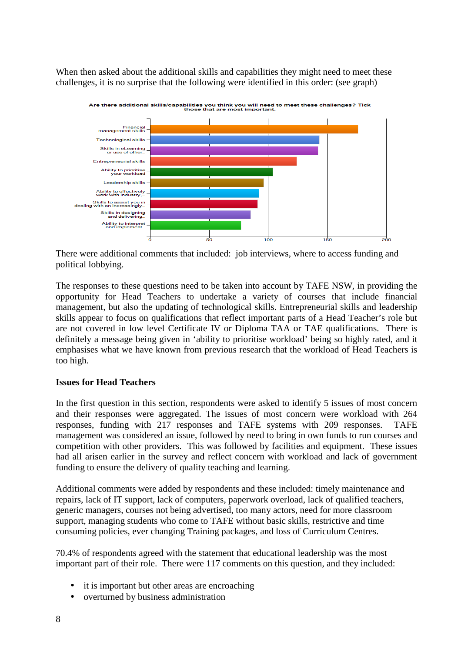When then asked about the additional skills and capabilities they might need to meet these challenges, it is no surprise that the following were identified in this order: (see graph)



There were additional comments that included: job interviews, where to access funding and political lobbying.

The responses to these questions need to be taken into account by TAFE NSW, in providing the opportunity for Head Teachers to undertake a variety of courses that include financial management, but also the updating of technological skills. Entrepreneurial skills and leadership skills appear to focus on qualifications that reflect important parts of a Head Teacher's role but are not covered in low level Certificate IV or Diploma TAA or TAE qualifications. There is definitely a message being given in 'ability to prioritise workload' being so highly rated, and it emphasises what we have known from previous research that the workload of Head Teachers is too high.

# **Issues for Head Teachers**

In the first question in this section, respondents were asked to identify 5 issues of most concern and their responses were aggregated. The issues of most concern were workload with 264 responses, funding with 217 responses and TAFE systems with 209 responses. TAFE management was considered an issue, followed by need to bring in own funds to run courses and competition with other providers. This was followed by facilities and equipment. These issues had all arisen earlier in the survey and reflect concern with workload and lack of government funding to ensure the delivery of quality teaching and learning.

Additional comments were added by respondents and these included: timely maintenance and repairs, lack of IT support, lack of computers, paperwork overload, lack of qualified teachers, generic managers, courses not being advertised, too many actors, need for more classroom support, managing students who come to TAFE without basic skills, restrictive and time consuming policies, ever changing Training packages, and loss of Curriculum Centres.

70.4% of respondents agreed with the statement that educational leadership was the most important part of their role. There were 117 comments on this question, and they included:

- it is important but other areas are encroaching
- overturned by business administration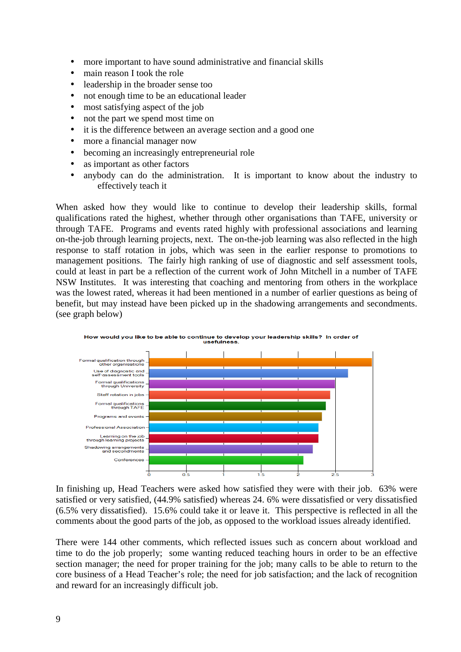- more important to have sound administrative and financial skills
- main reason I took the role
- leadership in the broader sense too
- not enough time to be an educational leader
- most satisfying aspect of the job
- not the part we spend most time on
- it is the difference between an average section and a good one
- more a financial manager now
- becoming an increasingly entrepreneurial role
- as important as other factors
- anybody can do the administration. It is important to know about the industry to effectively teach it

When asked how they would like to continue to develop their leadership skills, formal qualifications rated the highest, whether through other organisations than TAFE, university or through TAFE. Programs and events rated highly with professional associations and learning on-the-job through learning projects, next. The on-the-job learning was also reflected in the high response to staff rotation in jobs, which was seen in the earlier response to promotions to management positions. The fairly high ranking of use of diagnostic and self assessment tools, could at least in part be a reflection of the current work of John Mitchell in a number of TAFE NSW Institutes. It was interesting that coaching and mentoring from others in the workplace was the lowest rated, whereas it had been mentioned in a number of earlier questions as being of benefit, but may instead have been picked up in the shadowing arrangements and secondments. (see graph below)



In finishing up, Head Teachers were asked how satisfied they were with their job. 63% were satisfied or very satisfied, (44.9% satisfied) whereas 24. 6% were dissatisfied or very dissatisfied (6.5% very dissatisfied). 15.6% could take it or leave it. This perspective is reflected in all the comments about the good parts of the job, as opposed to the workload issues already identified.

There were 144 other comments, which reflected issues such as concern about workload and time to do the job properly; some wanting reduced teaching hours in order to be an effective section manager; the need for proper training for the job; many calls to be able to return to the core business of a Head Teacher's role; the need for job satisfaction; and the lack of recognition and reward for an increasingly difficult job.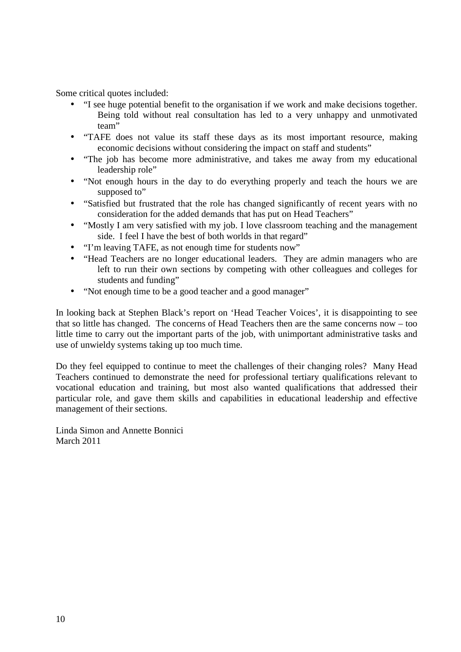Some critical quotes included:

- "I see huge potential benefit to the organisation if we work and make decisions together. Being told without real consultation has led to a very unhappy and unmotivated team"
- "TAFE does not value its staff these days as its most important resource, making economic decisions without considering the impact on staff and students"
- "The job has become more administrative, and takes me away from my educational leadership role"
- "Not enough hours in the day to do everything properly and teach the hours we are supposed to"
- "Satisfied but frustrated that the role has changed significantly of recent years with no consideration for the added demands that has put on Head Teachers"
- "Mostly I am very satisfied with my job. I love classroom teaching and the management side. I feel I have the best of both worlds in that regard"
- "I'm leaving TAFE, as not enough time for students now"
- "Head Teachers are no longer educational leaders. They are admin managers who are left to run their own sections by competing with other colleagues and colleges for students and funding"
- "Not enough time to be a good teacher and a good manager"

In looking back at Stephen Black's report on 'Head Teacher Voices', it is disappointing to see that so little has changed. The concerns of Head Teachers then are the same concerns now – too little time to carry out the important parts of the job, with unimportant administrative tasks and use of unwieldy systems taking up too much time.

Do they feel equipped to continue to meet the challenges of their changing roles? Many Head Teachers continued to demonstrate the need for professional tertiary qualifications relevant to vocational education and training, but most also wanted qualifications that addressed their particular role, and gave them skills and capabilities in educational leadership and effective management of their sections.

Linda Simon and Annette Bonnici March 2011